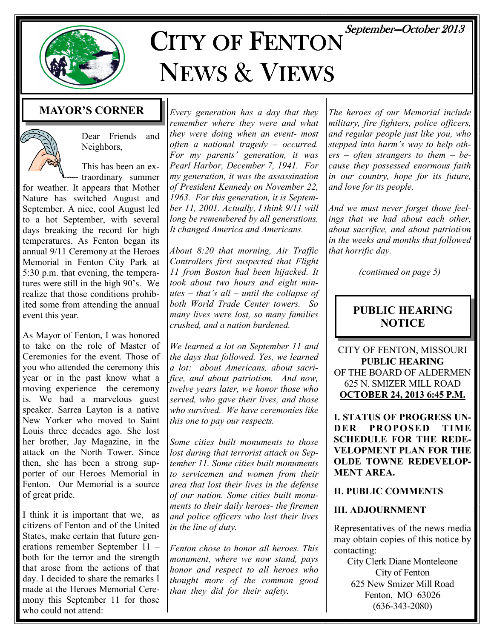September-October 2013



# CITY OF FENTON NEWS & VIEWS

### MAYOR'S CORNER



Dear Friends and Neighbors,

This has been an ex- $\sim$  traordinary summer

for weather. It appears that Mother Nature has switched August and September. A nice, cool August led to a hot September, with several days breaking the record for high temperatures. As Fenton began its annual 9/11 Ceremony at the Heroes Memorial in Fenton City Park at 5:30 p.m. that evening, the temperatures were still in the high 90's. We realize that those conditions prohibited some from attending the annual event this year.

As Mayor of Fenton, I was honored to take on the role of Master of Ceremonies for the event. Those of you who attended the ceremony this year or in the past know what a moving experience the ceremony is. We had a marvelous guest speaker. Sarrea Layton is a native New Yorker who moved to Saint Louis three decades ago. She lost her brother, Jay Magazine, in the attack on the North Tower. Since then, she has been a strong supporter of our Heroes Memorial in Fenton. Our Memorial is a source of great pride.

I think it is important that we, as citizens of Fenton and of the United States, make certain that future generations remember September 11 – both for the terror and the strength that arose from the actions of that day. I decided to share the remarks I made at the Heroes Memorial Ceremony this September 11 for those who could not attend:

Every generation has a day that they remember where they were and what they were doing when an event- most often a national tragedy – occurred. For my parents' generation, it was Pearl Harbor, December 7, 1941. For my generation, it was the assassination of President Kennedy on November 22, 1963. For this generation, it is September 11, 2001. Actually, I think 9/11 will long be remembered by all generations. It changed America and Americans.

About 8:20 that morning, Air Traffic Controllers first suspected that Flight 11 from Boston had been hijacked. It took about two hours and eight minutes – that's all – until the collapse of both World Trade Center towers. So many lives were lost, so many families crushed, and a nation burdened.

We learned a lot on September 11 and the days that followed. Yes, we learned a lot: about Americans, about sacrifice, and about patriotism. And now, twelve years later, we honor those who served, who gave their lives, and those who survived. We have ceremonies like this one to pay our respects.

Some cities built monuments to those lost during that terrorist attack on September 11. Some cities built monuments to servicemen and women from their area that lost their lives in the defense of our nation. Some cities built monuments to their daily heroes- the firemen and police officers who lost their lives in the line of duty.

Fenton chose to honor all heroes. This monument, where we now stand, pays honor and respect to all heroes who thought more of the common good than they did for their safety.

The heroes of our Memorial include military, fire fighters, police officers, and regular people just like you, who stepped into harm's way to help oth $ers - often$  strangers to them - because they possessed enormous faith in our country, hope for its future, and love for its people.

And we must never forget those feelings that we had about each other, about sacrifice, and about patriotism in the weeks and months that followed that horrific day.

(continued on page 5)

#### PUBLIC HEARING **NOTICE**

CITY OF FENTON, MISSOURI PUBLIC HEARING OF THE BOARD OF ALDERMEN 625 N. SMIZER MILL ROAD OCTOBER 24, 2013 6:45 P.M.

I. STATUS OF PROGRESS UN-DER PROPOSED TIME SCHEDULE FOR THE REDE-VELOPMENT PLAN FOR THE OLDE TOWNE REDEVELOP-MENT AREA.

#### II. PUBLIC COMMENTS

#### III. ADJOURNMENT

Representatives of the news media may obtain copies of this notice by contacting:

City Clerk Diane Monteleone City of Fenton 625 New Smizer Mill Road Fenton, MO 63026 (636-343-2080)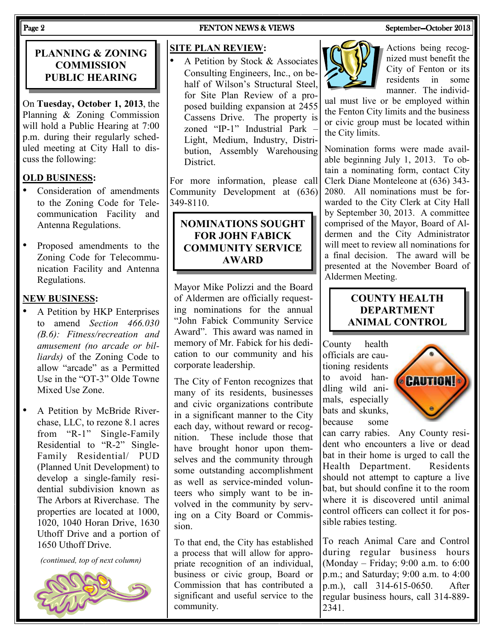#### PLANNING & ZONING **COMMISSION** PUBLIC HEARING

On Tuesday, October 1, 2013, the Planning & Zoning Commission will hold a Public Hearing at 7:00 p.m. during their regularly scheduled meeting at City Hall to discuss the following:

#### OLD BUSINESS:

- Consideration of amendments to the Zoning Code for Telecommunication Facility and Antenna Regulations.
- Proposed amendments to the Zoning Code for Telecommunication Facility and Antenna Regulations.

#### NEW BUSINESS:

- A Petition by HKP Enterprises to amend Section 466.030 (B.6): Fitness/recreation and amusement (no arcade or billiards) of the Zoning Code to allow "arcade" as a Permitted Use in the "OT-3" Olde Towne Mixed Use Zone.
- A Petition by McBride Riverchase, LLC, to rezone 8.1 acres from "R-1" Single-Family Residential to "R-2" Single-Family Residential/ PUD (Planned Unit Development) to develop a single-family residential subdivision known as The Arbors at Riverchase. The properties are located at 1000, 1020, 1040 Horan Drive, 1630 Uthoff Drive and a portion of 1650 Uthoff Drive.

(continued, top of next column)



#### Page 2 FENTON NEWS & VIEWS SEPTEMBER September—October 2013

#### SITE PLAN REVIEW:

A Petition by Stock & Associates Consulting Engineers, Inc., on behalf of Wilson's Structural Steel, for Site Plan Review of a proposed building expansion at 2455 Cassens Drive. The property is zoned "IP-1" Industrial Park – Light, Medium, Industry, Distribution, Assembly Warehousing **District** 

For more information, please call Community Development at (636) 349-8110.

#### NOMINATIONS SOUGHT FOR JOHN FABICK COMMUNITY SERVICE AWARD

Mayor Mike Polizzi and the Board of Aldermen are officially requesting nominations for the annual "John Fabick Community Service Award". This award was named in memory of Mr. Fabick for his dedication to our community and his corporate leadership.

The City of Fenton recognizes that many of its residents, businesses and civic organizations contribute in a significant manner to the City each day, without reward or recognition. These include those that have brought honor upon themselves and the community through some outstanding accomplishment as well as service-minded volunteers who simply want to be involved in the community by serving on a City Board or Commission.

To that end, the City has established a process that will allow for appropriate recognition of an individual, business or civic group, Board or Commission that has contributed a significant and useful service to the community.



Actions being recognized must benefit the City of Fenton or its residents in some manner. The individ-

ual must live or be employed within the Fenton City limits and the business or civic group must be located within the City limits.

Nomination forms were made available beginning July 1, 2013. To obtain a nominating form, contact City Clerk Diane Monteleone at (636) 343- 2080. All nominations must be forwarded to the City Clerk at City Hall by September 30, 2013. A committee comprised of the Mayor, Board of Aldermen and the City Administrator will meet to review all nominations for a final decision. The award will be presented at the November Board of Aldermen Meeting.

#### COUNTY HEALTH DEPARTMENT ANIMAL CONTROL

County health officials are cautioning residents to avoid handling wild animals, especially bats and skunks, because some



can carry rabies. Any County resident who encounters a live or dead bat in their home is urged to call the Health Department. Residents should not attempt to capture a live bat, but should confine it to the room where it is discovered until animal control officers can collect it for possible rabies testing.

To reach Animal Care and Control during regular business hours (Monday – Friday; 9:00 a.m. to 6:00 p.m.; and Saturday; 9:00 a.m. to 4:00 p.m.), call 314-615-0650. After regular business hours, call 314-889- 2341.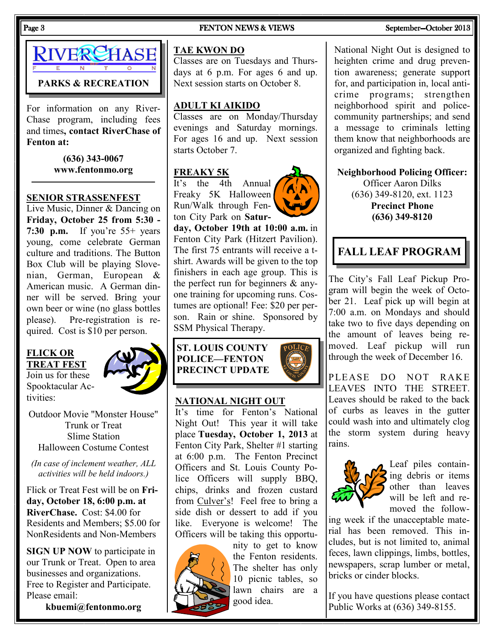#### Page 3 FENTON NEWS & VIEWS SEPTEMBER September—October 2013



For information on any River-Chase program, including fees and times, contact RiverChase of Fenton at:

> (636) 343-0067 www.fentonmo.org

#### SENIOR STRASSENFEST

Live Music, Dinner & Dancing on Friday, October 25 from 5:30 - 7:30 p.m. If you're 55+ years young, come celebrate German culture and traditions. The Button Box Club will be playing Slovenian, German, European & American music. A German dinner will be served. Bring your own beer or wine (no glass bottles please). Pre-registration is required. Cost is \$10 per person.

#### FLICK OR TREAT FEST

Join us for these Spooktacular Activities:



Outdoor Movie "Monster House" Trunk or Treat Slime Station Halloween Costume Contest

(In case of inclement weather, ALL activities will be held indoors.)

Flick or Treat Fest will be on Friday, October 18, 6:00 p.m. at RiverChase. Cost: \$4.00 for Residents and Members; \$5.00 for NonResidents and Non-Members

SIGN UP NOW to participate in our Trunk or Treat. Open to area businesses and organizations. Free to Register and Participate. Please email:

kbuemi@fentonmo.org

#### TAE KWON DO

Classes are on Tuesdays and Thursdays at 6 p.m. For ages 6 and up. Next session starts on October 8.

#### ADULT KI AIKIDO

Classes are on Monday/Thursday evenings and Saturday mornings. For ages 16 and up. Next session starts October 7.

#### FREAKY 5K

It's the 4th Annual Freaky 5K Halloween Run/Walk through Fenton City Park on Satur-



day, October 19th at 10:00 a.m. in Fenton City Park (Hitzert Pavilion). The first 75 entrants will receive a tshirt. Awards will be given to the top finishers in each age group. This is the perfect run for beginners & anyone training for upcoming runs. Costumes are optional! Fee: \$20 per person. Rain or shine. Sponsored by SSM Physical Therapy.

| ST. LOUIS COUNTY     | <b>FPOI</b> |
|----------------------|-------------|
| <b>POLICE—FENTON</b> |             |
| PRECINCT UPDATE      |             |
|                      |             |

#### NATIONAL NIGHT OUT

It's time for Fenton's National Night Out! This year it will take place Tuesday, October 1, 2013 at Fenton City Park, Shelter #1 starting at 6:00 p.m. The Fenton Precinct Officers and St. Louis County Police Officers will supply BBQ, chips, drinks and frozen custard from Culver's! Feel free to bring a side dish or dessert to add if you like. Everyone is welcome! The Officers will be taking this opportu-



nity to get to know the Fenton residents. The shelter has only 10 picnic tables, so lawn chairs are a good idea.

National Night Out is designed to heighten crime and drug prevention awareness; generate support for, and participation in, local anticrime programs; strengthen neighborhood spirit and policecommunity partnerships; and send a message to criminals letting them know that neighborhoods are organized and fighting back.

Neighborhood Policing Officer: Officer Aaron Dilks (636) 349-8120, ext. 1123 Precinct Phone (636) 349-8120

### FALL LEAF PROGRAM

The City's Fall Leaf Pickup Program will begin the week of October 21. Leaf pick up will begin at 7:00 a.m. on Mondays and should take two to five days depending on the amount of leaves being removed. Leaf pickup will run through the week of December 16.

PLEASE DO NOT RAKE LEAVES INTO THE STREET. Leaves should be raked to the back of curbs as leaves in the gutter could wash into and ultimately clog the storm system during heavy rains.



Leaf piles containing debris or items other than leaves will be left and removed the follow-

ing week if the unacceptable material has been removed. This includes, but is not limited to, animal feces, lawn clippings, limbs, bottles, newspapers, scrap lumber or metal, bricks or cinder blocks.

If you have questions please contact Public Works at (636) 349-8155.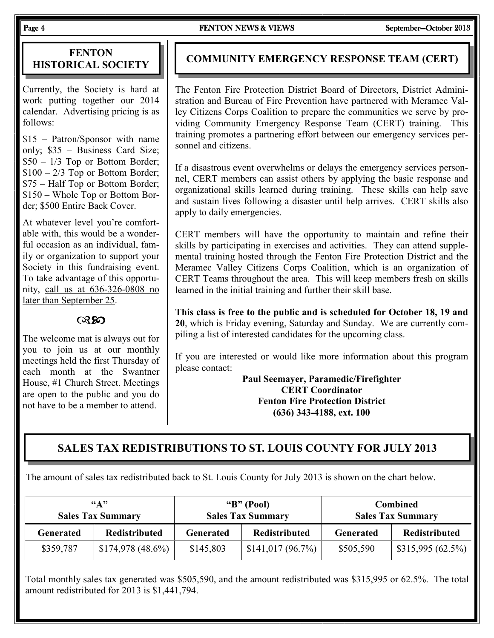Page 4 FENTON NEWS & VIEWS SEPTEMBER September—October 2013

#### **FENTON** HISTORICAL SOCIETY

Currently, the Society is hard at work putting together our 2014 calendar. Advertising pricing is as follows:

\$15 – Patron/Sponsor with name only; \$35 – Business Card Size; \$50 – 1/3 Top or Bottom Border;  $$100 - 2/3$  Top or Bottom Border; \$75 – Half Top or Bottom Border; \$150 – Whole Top or Bottom Border; \$500 Entire Back Cover.

At whatever level you're comfortable with, this would be a wonderful occasion as an individual, family or organization to support your Society in this fundraising event. To take advantage of this opportunity, call us at 636-326-0808 no later than September 25.

෬෨

The welcome mat is always out for you to join us at our monthly meetings held the first Thursday of each month at the Swantner House, #1 Church Street. Meetings are open to the public and you do not have to be a member to attend.

#### COMMUNITY EMERGENCY RESPONSE TEAM (CERT)

The Fenton Fire Protection District Board of Directors, District Administration and Bureau of Fire Prevention have partnered with Meramec Valley Citizens Corps Coalition to prepare the communities we serve by providing Community Emergency Response Team (CERT) training. This training promotes a partnering effort between our emergency services personnel and citizens.

If a disastrous event overwhelms or delays the emergency services personnel, CERT members can assist others by applying the basic response and organizational skills learned during training. These skills can help save and sustain lives following a disaster until help arrives. CERT skills also apply to daily emergencies.

CERT members will have the opportunity to maintain and refine their skills by participating in exercises and activities. They can attend supplemental training hosted through the Fenton Fire Protection District and the Meramec Valley Citizens Corps Coalition, which is an organization of CERT Teams throughout the area. This will keep members fresh on skills learned in the initial training and further their skill base.

This class is free to the public and is scheduled for October 18, 19 and 20, which is Friday evening, Saturday and Sunday. We are currently compiling a list of interested candidates for the upcoming class.

If you are interested or would like more information about this program please contact:

> Paul Seemayer, Paramedic/Firefighter CERT Coordinator Fenton Fire Protection District (636) 343-4188, ext. 100

#### SALES TAX REDISTRIBUTIONS TO ST. LOUIS COUNTY FOR JULY 2013

The amount of sales tax redistributed back to St. Louis County for July 2013 is shown on the chart below.

| $66 \triangle 22$<br><b>Sales Tax Summary</b> |                      | " $B$ " (Pool)<br><b>Sales Tax Summary</b> |                      | <b>Combined</b><br><b>Sales Tax Summary</b> |                      |
|-----------------------------------------------|----------------------|--------------------------------------------|----------------------|---------------------------------------------|----------------------|
| <b>Generated</b>                              | <b>Redistributed</b> | <b>Generated</b>                           | <b>Redistributed</b> | <b>Generated</b>                            | <b>Redistributed</b> |
| \$359,787                                     | $$174,978$ (48.6%)   | \$145,803                                  | \$141,017(96.7%)     | \$505,590                                   | \$315,995(62.5%)     |

Total monthly sales tax generated was \$505,590, and the amount redistributed was \$315,995 or 62.5%. The total amount redistributed for 2013 is \$1,441,794.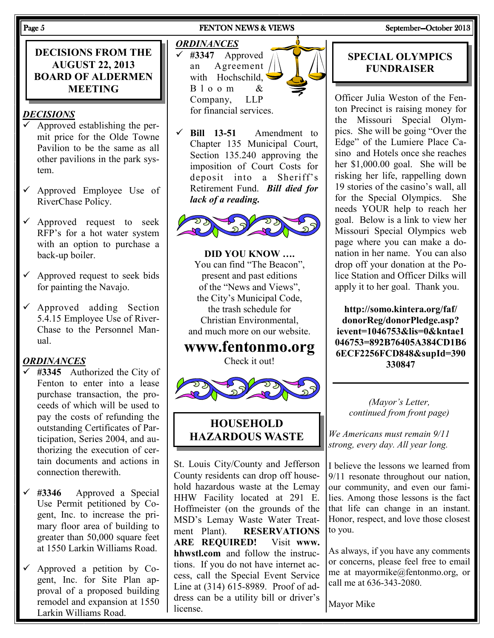DECISIONS FROM THE AUGUST 22, 2013 BOARD OF ALDERMEN MEETING

#### DECISIONS

- Approved establishing the permit price for the Olde Towne Pavilion to be the same as all other pavilions in the park system.
- $\checkmark$  Approved Employee Use of RiverChase Policy.
- $\checkmark$  Approved request to seek RFP's for a hot water system with an option to purchase a back-up boiler.
- $\checkmark$  Approved request to seek bids for painting the Navajo.
- $\checkmark$  Approved adding Section 5.4.15 Employee Use of River-Chase to the Personnel Manual.

#### **ORDINANCES**

- #3345 Authorized the City of Fenton to enter into a lease purchase transaction, the proceeds of which will be used to pay the costs of refunding the outstanding Certificates of Participation, Series 2004, and authorizing the execution of certain documents and actions in connection therewith.
- #3346 Approved a Special Use Permit petitioned by Cogent, Inc. to increase the primary floor area of building to greater than 50,000 square feet at 1550 Larkin Williams Road.
- Approved a petition by Cogent, Inc. for Site Plan approval of a proposed building remodel and expansion at 1550 Larkin Williams Road.

#### Page 5 FENTON NEWS & VIEWS SEPTEMBER September—October 2013

#### **ORDINANCES**

 #3347 Approved an Agreement with Hochschild,  $B$  l o o m & Company, LLP for financial services.



 Bill 13-51 Amendment to Chapter 135 Municipal Court, Section 135.240 approving the imposition of Court Costs for deposit into a Sheriff's Retirement Fund. Bill died for lack of a reading.



DID YOU KNOW …. You can find "The Beacon", present and past editions of the "News and Views", the City's Municipal Code, the trash schedule for Christian Environmental, and much more on our website.

#### www.fentonmo.org Check it out!



#### **HOUSEHOLD** HAZARDOUS WASTE

St. Louis City/County and Jefferson County residents can drop off household hazardous waste at the Lemay HHW Facility located at 291 E. Hoffmeister (on the grounds of the MSD's Lemay Waste Water Treatment Plant). RESERVATIONS ARE REQUIRED! Visit www. hhwstl.com and follow the instructions. If you do not have internet access, call the Special Event Service Line at (314) 615-8989. Proof of address can be a utility bill or driver's license.

#### SPECIAL OLYMPICS FUNDRAISER

Officer Julia Weston of the Fenton Precinct is raising money for the Missouri Special Olympics. She will be going "Over the Edge" of the Lumiere Place Casino and Hotels once she reaches her \$1,000.00 goal. She will be risking her life, rappelling down 19 stories of the casino's wall, all for the Special Olympics. She needs YOUR help to reach her goal. Below is a link to view her Missouri Special Olympics web page where you can make a donation in her name. You can also drop off your donation at the Police Station and Officer Dilks will apply it to her goal. Thank you.

http://somo.kintera.org/faf/ donorReg/donorPledge.asp? ievent=1046753&lis=0&kntae1 046753=892B76405A384CD1B6 6ECF2256FCD848&supId=390 330847

(Mayor's Letter, continued from front page)

We Americans must remain 9/11 strong, every day. All year long.

I believe the lessons we learned from 9/11 resonate throughout our nation, our community, and even our families. Among those lessons is the fact that life can change in an instant. Honor, respect, and love those closest to you.

As always, if you have any comments or concerns, please feel free to email me at mayormike@fentonmo.org, or call me at 636-343-2080.

Mayor Mike